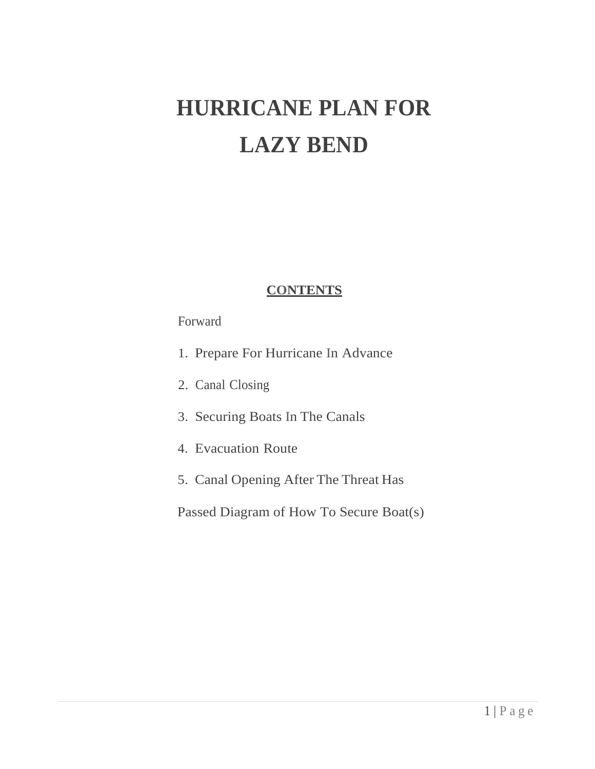# **HURRICANE PLAN FOR LAZY BEND**

## **CONTENTS**

## Forward

- 1. Prepare For Hurricane In Advance
- 2. Canal Closing
- 3. Securing Boats In The Canals
- 4. Evacuation Route
- 5. Canal Opening After The Threat Has

Passed Diagram of How To Secure Boat(s)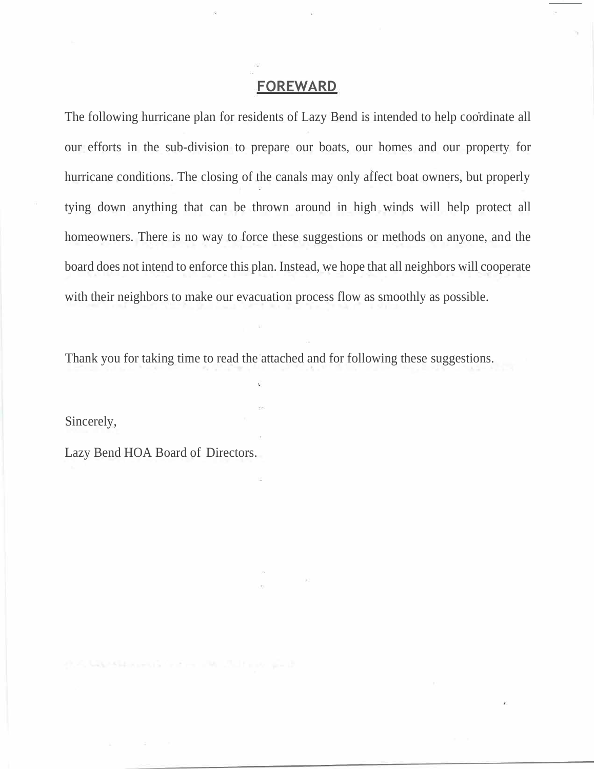#### **FOREWARD**

The following hurricane plan for residents of Lazy Bend is intended to help coordinate all our efforts in the sub-division to prepare our boats, our homes and our property for hurricane conditions. The closing of the canals may only affect boat owners, but properly tying down anything that can be thrown around in high winds will help protect all homeowners. There is no way to force these suggestions or methods on anyone, and the board does not intend to enforce this plan. Instead, we hope that all neighbors will cooperate with their neighbors to make our evacuation process flow as smoothly as possible.

Thank you for taking time to read the attached and for following these suggestions.

Sincerely,

Lazy Bend HOA Board of Directors.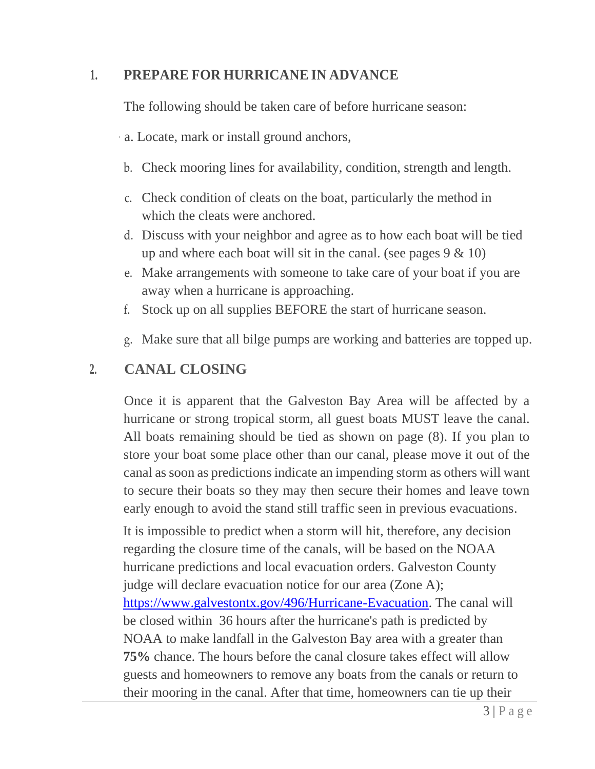# **1. PREPARE FOR HURRICANE IN ADVANCE**

The following should be taken care of before hurricane season:

- · a. Locate, mark or install ground anchors,
- b. Check mooring lines for availability, condition, strength and length.
- c. Check condition of cleats on the boat, particularly the method in which the cleats were anchored.
- d. Discuss with your neighbor and agree as to how each boat will be tied up and where each boat will sit in the canal. (see pages  $9 \& 10$ )
- e. Make arrangements with someone to take care of your boat if you are away when a hurricane is approaching.
- f. Stock up on all supplies BEFORE the start of hurricane season.
- g. Make sure that all bilge pumps are working and batteries are topped up.

# **2. CANAL CLOSING**

Once it is apparent that the Galveston Bay Area will be affected by a hurricane or strong tropical storm, all guest boats MUST leave the canal. All boats remaining should be tied as shown on page (8). If you plan to store your boat some place other than our canal, please move it out of the canal as soon as predictions indicate an impending storm as others will want to secure their boats so they may then secure their homes and leave town early enough to avoid the stand still traffic seen in previous evacuations.

It is impossible to predict when a storm will hit, therefore, any decision regarding the closure time of the canals, will be based on the NOAA hurricane predictions and local evacuation orders. Galveston County judge will declare evacuation notice for our area (Zone A); [https://www.galvestontx.gov/496/Hurricane-Evacuation.](https://www.galvestontx.gov/496/Hurricane-Evacuation) The canal will be closed within 36 hours after the hurricane's path is predicted by NOAA to make landfall in the Galveston Bay area with a greater than **75%** chance. The hours before the canal closure takes effect will allow guests and homeowners to remove any boats from the canals or return to their mooring in the canal. After that time, homeowners can tie up their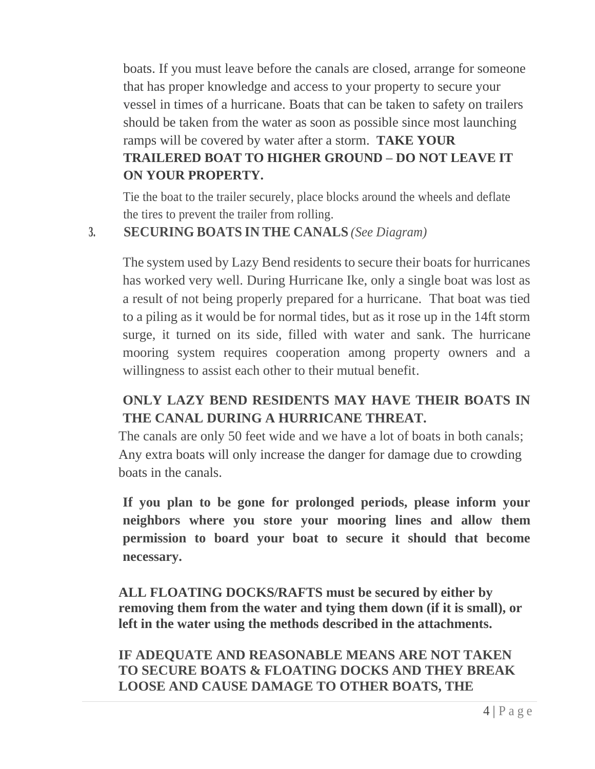boats. If you must leave before the canals are closed, arrange for someone that has proper knowledge and access to your property to secure your vessel in times of a hurricane. Boats that can be taken to safety on trailers should be taken from the water as soon as possible since most launching ramps will be covered by water after a storm. **TAKE YOUR TRAILERED BOAT TO HIGHER GROUND – DO NOT LEAVE IT ON YOUR PROPERTY.**

Tie the boat to the trailer securely, place blocks around the wheels and deflate the tires to prevent the trailer from rolling.

## **3. SECURING BOATS IN THE CANALS** *(See Diagram)*

The system used by Lazy Bend residents to secure their boats for hurricanes has worked very well. During Hurricane Ike, only a single boat was lost as a result of not being properly prepared for a hurricane. That boat was tied to a piling as it would be for normal tides, but as it rose up in the 14ft storm surge, it turned on its side, filled with water and sank. The hurricane mooring system requires cooperation among property owners and a willingness to assist each other to their mutual benefit.

# **ONLY LAZY BEND RESIDENTS MAY HAVE THEIR BOATS IN THE CANAL DURING A HURRICANE THREAT.**

The canals are only 50 feet wide and we have a lot of boats in both canals; Any extra boats will only increase the danger for damage due to crowding boats in the canals.

**If you plan to be gone for prolonged periods, please inform your neighbors where you store your mooring lines and allow them permission to board your boat to secure it should that become necessary.** 

**ALL FLOATING DOCKS/RAFTS must be secured by either by removing them from the water and tying them down (if it is small), or left in the water using the methods described in the attachments.**

**IF ADEQUATE AND REASONABLE MEANS ARE NOT TAKEN TO SECURE BOATS & FLOATING DOCKS AND THEY BREAK LOOSE AND CAUSE DAMAGE TO OTHER BOATS, THE**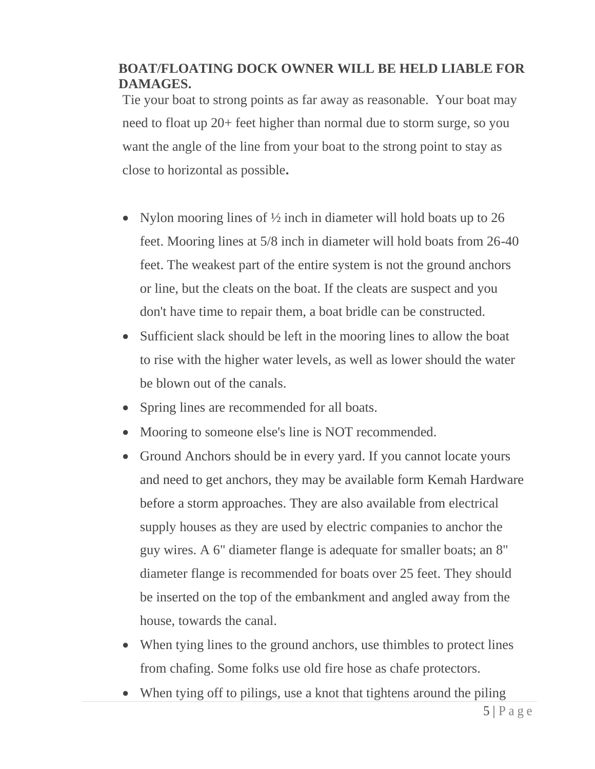# **BOAT/FLOATING DOCK OWNER WILL BE HELD LIABLE FOR DAMAGES.**

Tie your boat to strong points as far away as reasonable. Your boat may need to float up 20+ feet higher than normal due to storm surge, so you want the angle of the line from your boat to the strong point to stay as close to horizontal as possible**.**

- Nylon mooring lines of  $\frac{1}{2}$  inch in diameter will hold boats up to 26 feet. Mooring lines at 5/8 inch in diameter will hold boats from 26-40 feet. The weakest part of the entire system is not the ground anchors or line, but the cleats on the boat. If the cleats are suspect and you don't have time to repair them, a boat bridle can be constructed.
- Sufficient slack should be left in the mooring lines to allow the boat to rise with the higher water levels, as well as lower should the water be blown out of the canals.
- Spring lines are recommended for all boats.
- Mooring to someone else's line is NOT recommended.
- Ground Anchors should be in every yard. If you cannot locate yours and need to get anchors, they may be available form Kemah Hardware before a storm approaches. They are also available from electrical supply houses as they are used by electric companies to anchor the guy wires. A 6" diameter flange is adequate for smaller boats; an 8" diameter flange is recommended for boats over 25 feet. They should be inserted on the top of the embankment and angled away from the house, towards the canal.
- When tying lines to the ground anchors, use thimbles to protect lines from chafing. Some folks use old fire hose as chafe protectors.
- When tying off to pilings, use a knot that tightens around the piling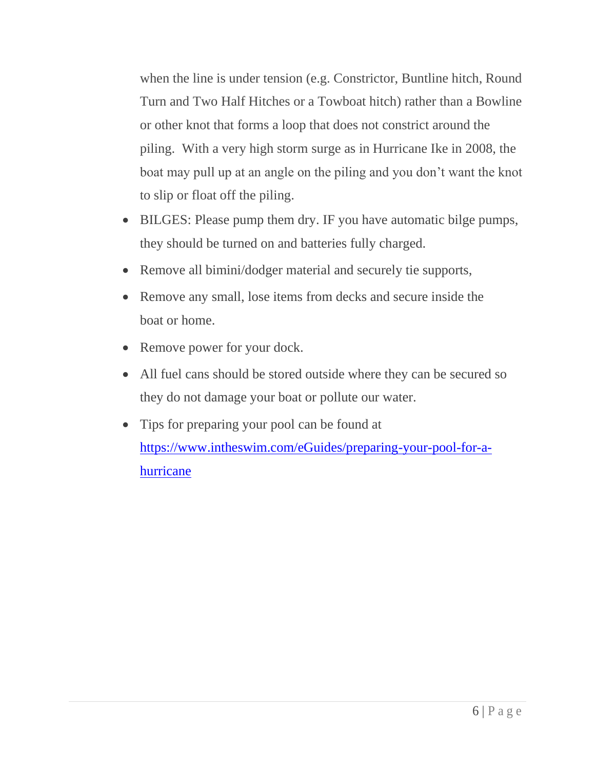when the line is under tension (e.g. Constrictor, Buntline hitch, Round Turn and Two Half Hitches or a Towboat hitch) rather than a Bowline or other knot that forms a loop that does not constrict around the piling. With a very high storm surge as in Hurricane Ike in 2008, the boat may pull up at an angle on the piling and you don't want the knot to slip or float off the piling.

- BILGES: Please pump them dry. IF you have automatic bilge pumps, they should be turned on and batteries fully charged.
- Remove all bimini/dodger material and securely tie supports,
- Remove any small, lose items from decks and secure inside the boat or home.
- Remove power for your dock.
- All fuel cans should be stored outside where they can be secured so they do not damage your boat or pollute our water.
- Tips for preparing your pool can be found at [https://www.intheswim.com/eGuides/preparing-your-pool-for-a](https://www.intheswim.com/eGuides/preparing-your-pool-for-a-hurricane)[hurricane](https://www.intheswim.com/eGuides/preparing-your-pool-for-a-hurricane)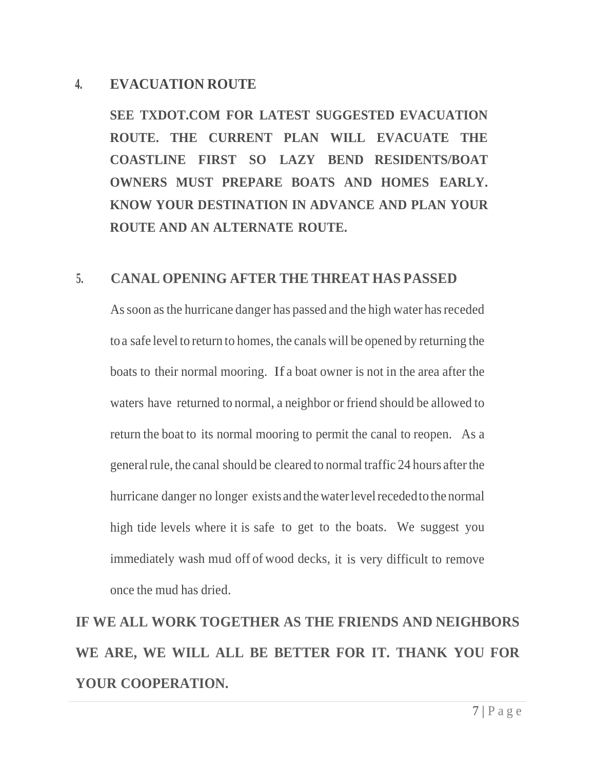# **4. EVACUATION ROUTE**

**SEE TXDOT.COM FOR LATEST SUGGESTED EVACUATION ROUTE. THE CURRENT PLAN WILL EVACUATE THE COASTLINE FIRST SO LAZY BEND RESIDENTS/BOAT OWNERS MUST PREPARE BOATS AND HOMES EARLY. KNOW YOUR DESTINATION IN ADVANCE AND PLAN YOUR ROUTE AND AN ALTERNATE ROUTE.**

#### **5. CANAL OPENING AFTER THE THREAT HAS PASSED**

As soon as the hurricane danger has passed and the high water has receded toa safe level to return to homes, the canals will be opened by returning the boats to their normal mooring. If a boat owner is not in the area after the waters have returned to normal, a neighbor or friend should be allowed to return the boat to its normal mooring to permit the canal to reopen. As a general rule, the canal should be cleared to normal traffic 24 hours after the hurricane danger no longer exists and the water level receded to the normal high tide levels where it is safe to get to the boats. We suggest you immediately wash mud off of wood decks, it is very difficult to remove once the mud has dried.

**IF WE ALL WORK TOGETHER AS THE FRIENDS AND NEIGHBORS WE ARE, WE WILL ALL BE BETTER FOR IT. THANK YOU FOR YOUR COOPERATION.**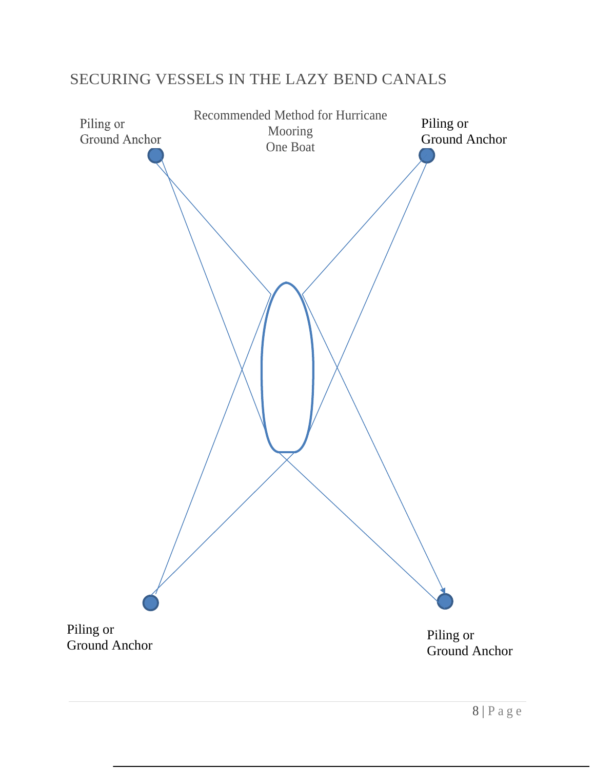# SECURING VESSELS IN THE LAZY BEND CANALS

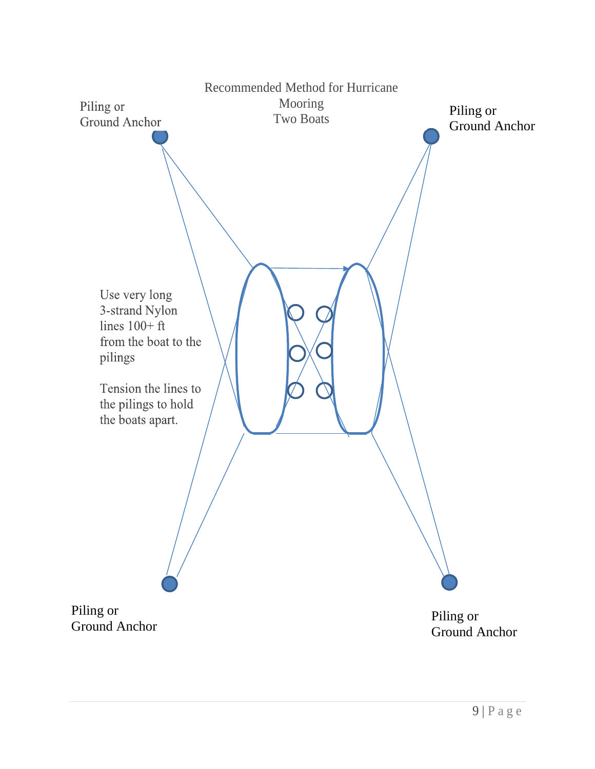